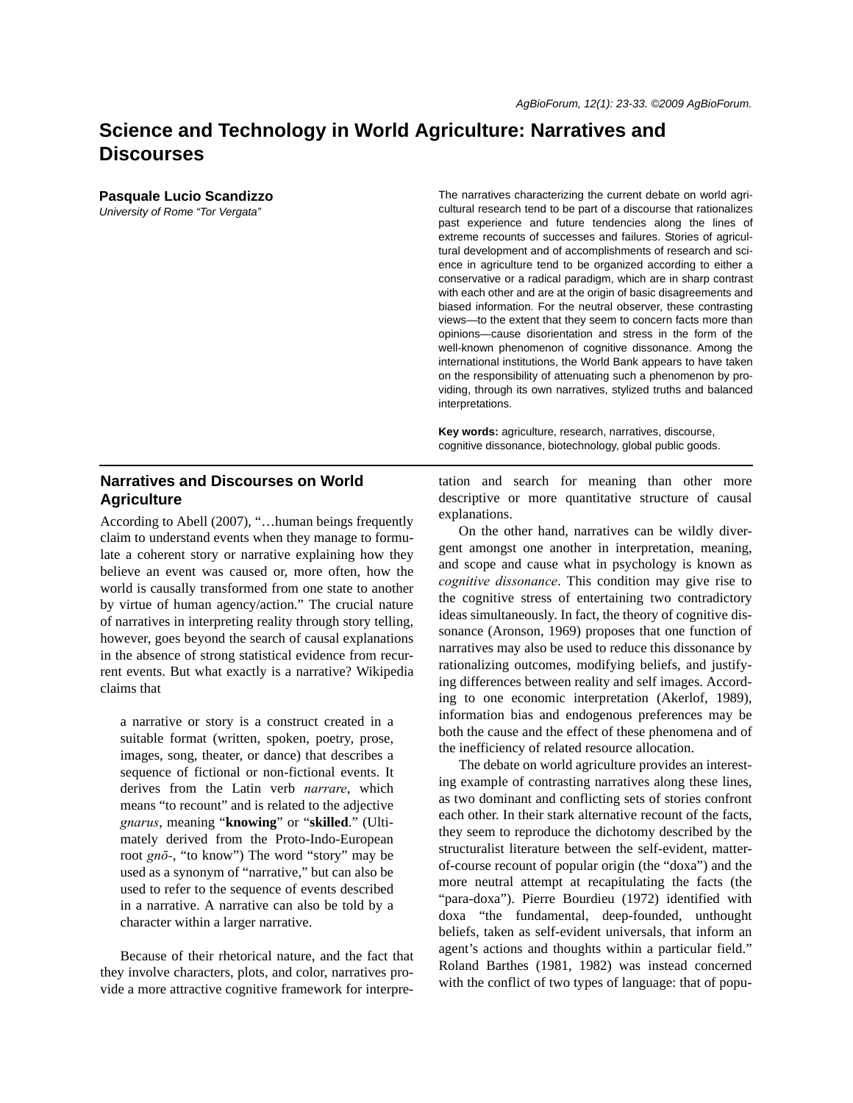# **Science and Technology in World Agriculture: Narratives and Discourses**

#### **Pasquale Lucio Scandizzo**

*University of Rome "Tor Vergata"*

The narratives characterizing the current debate on world agricultural research tend to be part of a discourse that rationalizes past experience and future tendencies along the lines of extreme recounts of successes and failures. Stories of agricultural development and of accomplishments of research and science in agriculture tend to be organized according to either a conservative or a radical paradigm, which are in sharp contrast with each other and are at the origin of basic disagreements and biased information. For the neutral observer, these contrasting views—to the extent that they seem to concern facts more than opinions—cause disorientation and stress in the form of the well-known phenomenon of cognitive dissonance. Among the international institutions, the World Bank appears to have taken on the responsibility of attenuating such a phenomenon by providing, through its own narratives, stylized truths and balanced interpretations.

**Key words:** agriculture, research, narratives, discourse, cognitive dissonance, biotechnology, global public goods.

## **Narratives and Discourses on World Agriculture**

According to Abell (2007), "…human beings frequently claim to understand events when they manage to formulate a coherent story or narrative explaining how they believe an event was caused or, more often, how the world is causally transformed from one state to another by virtue of human agency/action." The crucial nature of narratives in interpreting reality through story telling, however, goes beyond the search of causal explanations in the absence of strong statistical evidence from recurrent events. But what exactly is a narrative? Wikipedia claims that

a narrative or story is a construct created in a suitable format (written, spoken, poetry, prose, images, song, theater, or dance) that describes a sequence of fictional or non-fictional events. It derives from the Latin verb *narrare*, which means "to recount" and is related to the adjective *gnarus*, meaning "**knowing**" or "**skilled**." (Ultimately derived from the Proto-Indo-European root *gnō-*, "to know") The word "story" may be used as a synonym of "narrative," but can also be used to refer to the sequence of events described in a narrative. A narrative can also be told by a character within a larger narrative.

Because of their rhetorical nature, and the fact that they involve characters, plots, and color, narratives provide a more attractive cognitive framework for interpretation and search for meaning than other more descriptive or more quantitative structure of causal explanations.

On the other hand, narratives can be wildly divergent amongst one another in interpretation, meaning, and scope and cause what in psychology is known as *cognitive dissonance*. This condition may give rise to the cognitive stress of entertaining two contradictory ideas simultaneously. In fact, the theory of cognitive dissonance (Aronson, 1969) proposes that one function of narratives may also be used to reduce this dissonance by rationalizing outcomes, modifying beliefs, and justifying differences between reality and self images. According to one economic interpretation (Akerlof, 1989), information bias and endogenous preferences may be both the cause and the effect of these phenomena and of the inefficiency of related resource allocation.

The debate on world agriculture provides an interesting example of contrasting narratives along these lines, as two dominant and conflicting sets of stories confront each other. In their stark alternative recount of the facts, they seem to reproduce the dichotomy described by the structuralist literature between the self-evident, matterof-course recount of popular origin (the "doxa") and the more neutral attempt at recapitulating the facts (the "para-doxa"). Pierre Bourdieu (1972) identified with doxa "the fundamental, deep-founded, unthought beliefs, taken as self-evident universals, that inform an agent's actions and thoughts within a particular field." Roland Barthes (1981, 1982) was instead concerned with the conflict of two types of language: that of popu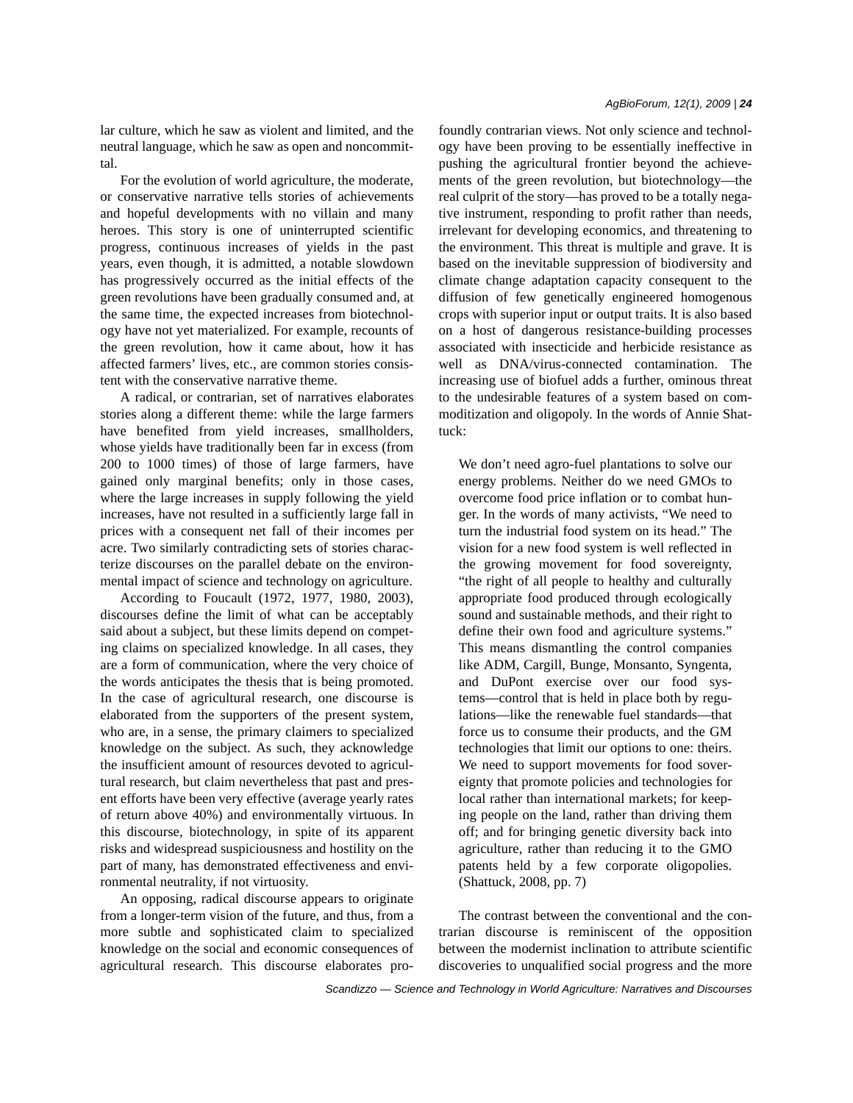lar culture, which he saw as violent and limited, and the neutral language, which he saw as open and noncommittal.

For the evolution of world agriculture, the moderate, or conservative narrative tells stories of achievements and hopeful developments with no villain and many heroes. This story is one of uninterrupted scientific progress, continuous increases of yields in the past years, even though, it is admitted, a notable slowdown has progressively occurred as the initial effects of the green revolutions have been gradually consumed and, at the same time, the expected increases from biotechnology have not yet materialized. For example, recounts of the green revolution, how it came about, how it has affected farmers' lives, etc., are common stories consistent with the conservative narrative theme.

A radical, or contrarian, set of narratives elaborates stories along a different theme: while the large farmers have benefited from yield increases, smallholders, whose yields have traditionally been far in excess (from 200 to 1000 times) of those of large farmers, have gained only marginal benefits; only in those cases, where the large increases in supply following the yield increases, have not resulted in a sufficiently large fall in prices with a consequent net fall of their incomes per acre. Two similarly contradicting sets of stories characterize discourses on the parallel debate on the environmental impact of science and technology on agriculture.

According to Foucault (1972, 1977, 1980, 2003), discourses define the limit of what can be acceptably said about a subject, but these limits depend on competing claims on specialized knowledge. In all cases, they are a form of communication, where the very choice of the words anticipates the thesis that is being promoted. In the case of agricultural research, one discourse is elaborated from the supporters of the present system, who are, in a sense, the primary claimers to specialized knowledge on the subject. As such, they acknowledge the insufficient amount of resources devoted to agricultural research, but claim nevertheless that past and present efforts have been very effective (average yearly rates of return above 40%) and environmentally virtuous. In this discourse, biotechnology, in spite of its apparent risks and widespread suspiciousness and hostility on the part of many, has demonstrated effectiveness and environmental neutrality, if not virtuosity.

An opposing, radical discourse appears to originate from a longer-term vision of the future, and thus, from a more subtle and sophisticated claim to specialized knowledge on the social and economic consequences of agricultural research. This discourse elaborates profoundly contrarian views. Not only science and technology have been proving to be essentially ineffective in pushing the agricultural frontier beyond the achievements of the green revolution, but biotechnology—the real culprit of the story—has proved to be a totally negative instrument, responding to profit rather than needs, irrelevant for developing economics, and threatening to the environment. This threat is multiple and grave. It is based on the inevitable suppression of biodiversity and climate change adaptation capacity consequent to the diffusion of few genetically engineered homogenous crops with superior input or output traits. It is also based on a host of dangerous resistance-building processes associated with insecticide and herbicide resistance as well as DNA/virus-connected contamination. The increasing use of biofuel adds a further, ominous threat to the undesirable features of a system based on commoditization and oligopoly. In the words of Annie Shattuck:

We don't need agro-fuel plantations to solve our energy problems. Neither do we need GMOs to overcome food price inflation or to combat hunger. In the words of many activists, "We need to turn the industrial food system on its head." The vision for a new food system is well reflected in the growing movement for food sovereignty, "the right of all people to healthy and culturally appropriate food produced through ecologically sound and sustainable methods, and their right to define their own food and agriculture systems." This means dismantling the control companies like ADM, Cargill, Bunge, Monsanto, Syngenta, and DuPont exercise over our food systems—control that is held in place both by regulations—like the renewable fuel standards—that force us to consume their products, and the GM technologies that limit our options to one: theirs. We need to support movements for food sovereignty that promote policies and technologies for local rather than international markets; for keeping people on the land, rather than driving them off; and for bringing genetic diversity back into agriculture, rather than reducing it to the GMO patents held by a few corporate oligopolies. (Shattuck, 2008, pp. 7)

The contrast between the conventional and the contrarian discourse is reminiscent of the opposition between the modernist inclination to attribute scientific discoveries to unqualified social progress and the more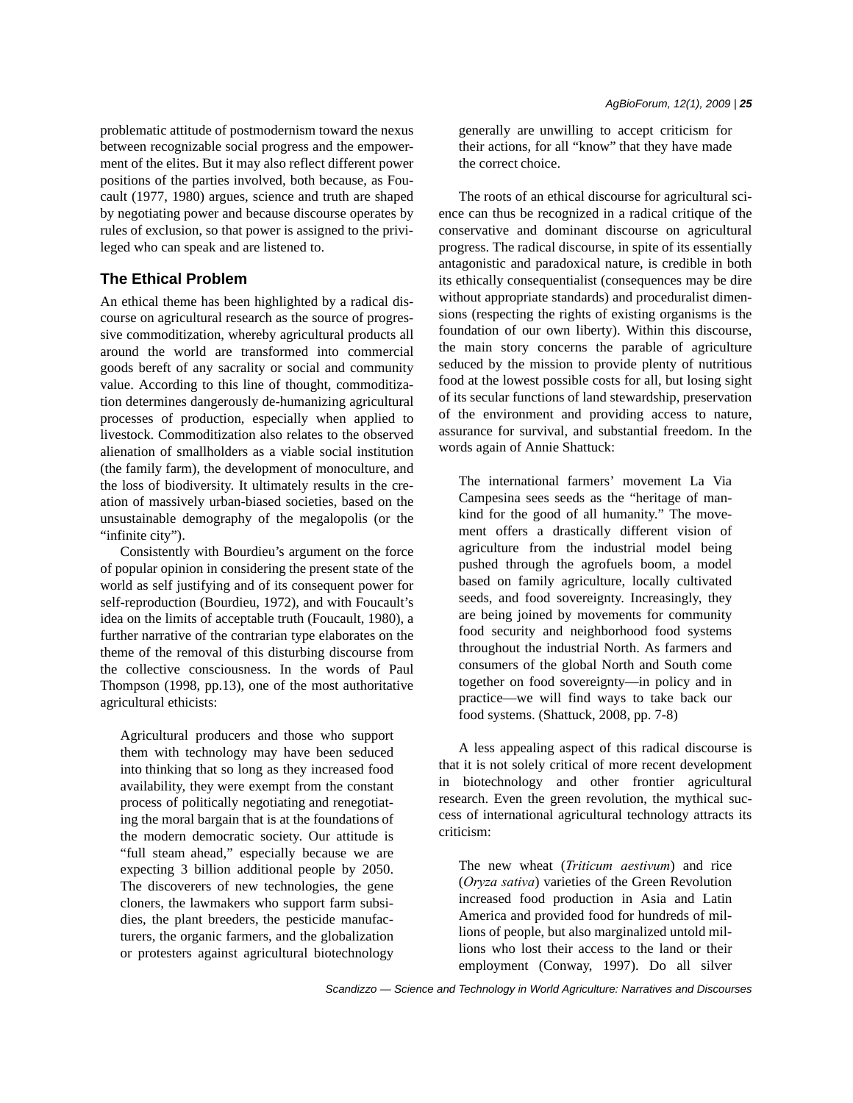problematic attitude of postmodernism toward the nexus between recognizable social progress and the empowerment of the elites. But it may also reflect different power positions of the parties involved, both because, as Foucault (1977, 1980) argues, science and truth are shaped by negotiating power and because discourse operates by rules of exclusion, so that power is assigned to the privileged who can speak and are listened to.

### **The Ethical Problem**

An ethical theme has been highlighted by a radical discourse on agricultural research as the source of progressive commoditization, whereby agricultural products all around the world are transformed into commercial goods bereft of any sacrality or social and community value. According to this line of thought, commoditization determines dangerously de-humanizing agricultural processes of production, especially when applied to livestock. Commoditization also relates to the observed alienation of smallholders as a viable social institution (the family farm), the development of monoculture, and the loss of biodiversity. It ultimately results in the creation of massively urban-biased societies, based on the unsustainable demography of the megalopolis (or the "infinite city").

Consistently with Bourdieu's argument on the force of popular opinion in considering the present state of the world as self justifying and of its consequent power for self-reproduction (Bourdieu, 1972), and with Foucault's idea on the limits of acceptable truth (Foucault, 1980), a further narrative of the contrarian type elaborates on the theme of the removal of this disturbing discourse from the collective consciousness. In the words of Paul Thompson (1998, pp.13), one of the most authoritative agricultural ethicists:

Agricultural producers and those who support them with technology may have been seduced into thinking that so long as they increased food availability, they were exempt from the constant process of politically negotiating and renegotiating the moral bargain that is at the foundations of the modern democratic society. Our attitude is "full steam ahead," especially because we are expecting 3 billion additional people by 2050. The discoverers of new technologies, the gene cloners, the lawmakers who support farm subsidies, the plant breeders, the pesticide manufacturers, the organic farmers, and the globalization or protesters against agricultural biotechnology

generally are unwilling to accept criticism for their actions, for all "know" that they have made the correct choice.

The roots of an ethical discourse for agricultural science can thus be recognized in a radical critique of the conservative and dominant discourse on agricultural progress. The radical discourse, in spite of its essentially antagonistic and paradoxical nature, is credible in both its ethically consequentialist (consequences may be dire without appropriate standards) and proceduralist dimensions (respecting the rights of existing organisms is the foundation of our own liberty). Within this discourse, the main story concerns the parable of agriculture seduced by the mission to provide plenty of nutritious food at the lowest possible costs for all, but losing sight of its secular functions of land stewardship, preservation of the environment and providing access to nature, assurance for survival, and substantial freedom. In the words again of Annie Shattuck:

The international farmers' movement La Via Campesina sees seeds as the "heritage of mankind for the good of all humanity." The movement offers a drastically different vision of agriculture from the industrial model being pushed through the agrofuels boom, a model based on family agriculture, locally cultivated seeds, and food sovereignty. Increasingly, they are being joined by movements for community food security and neighborhood food systems throughout the industrial North. As farmers and consumers of the global North and South come together on food sovereignty—in policy and in practice—we will find ways to take back our food systems. (Shattuck, 2008, pp. 7-8)

A less appealing aspect of this radical discourse is that it is not solely critical of more recent development in biotechnology and other frontier agricultural research. Even the green revolution, the mythical success of international agricultural technology attracts its criticism:

The new wheat (*Triticum aestivum*) and rice (*Oryza sativa*) varieties of the Green Revolution increased food production in Asia and Latin America and provided food for hundreds of millions of people, but also marginalized untold millions who lost their access to the land or their employment (Conway, 1997). Do all silver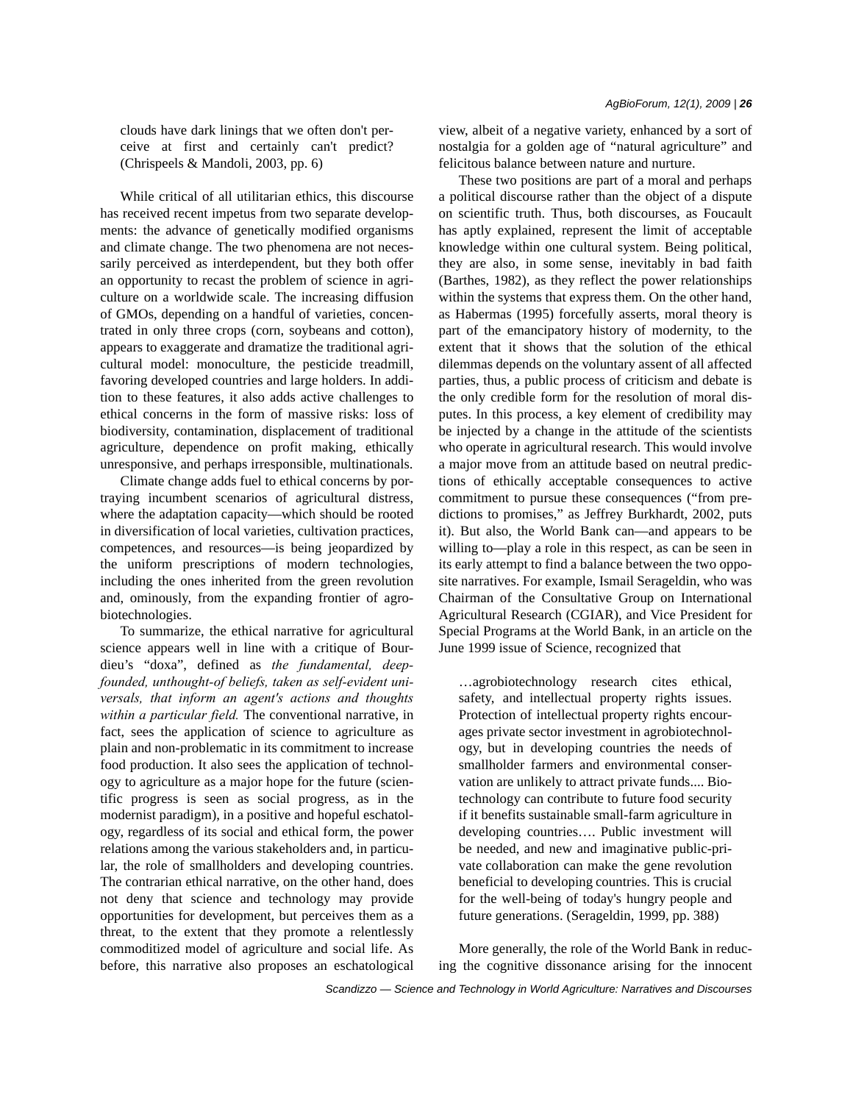While critical of all utilitarian ethics, this discourse has received recent impetus from two separate developments: the advance of genetically modified organisms and climate change. The two phenomena are not necessarily perceived as interdependent, but they both offer an opportunity to recast the problem of science in agriculture on a worldwide scale. The increasing diffusion of GMOs, depending on a handful of varieties, concentrated in only three crops (corn, soybeans and cotton), appears to exaggerate and dramatize the traditional agricultural model: monoculture, the pesticide treadmill, favoring developed countries and large holders. In addition to these features, it also adds active challenges to ethical concerns in the form of massive risks: loss of biodiversity, contamination, displacement of traditional agriculture, dependence on profit making, ethically unresponsive, and perhaps irresponsible, multinationals.

Climate change adds fuel to ethical concerns by portraying incumbent scenarios of agricultural distress, where the adaptation capacity—which should be rooted in diversification of local varieties, cultivation practices, competences, and resources—is being jeopardized by the uniform prescriptions of modern technologies, including the ones inherited from the green revolution and, ominously, from the expanding frontier of agrobiotechnologies.

To summarize, the ethical narrative for agricultural science appears well in line with a critique of Bourdieu's "doxa", defined as *the fundamental, deepfounded, unthought-of beliefs, taken as self-evident universals, that inform an agent's actions and thoughts within a particular field.* The conventional narrative, in fact, sees the application of science to agriculture as plain and non-problematic in its commitment to increase food production. It also sees the application of technology to agriculture as a major hope for the future (scientific progress is seen as social progress, as in the modernist paradigm), in a positive and hopeful eschatology, regardless of its social and ethical form, the power relations among the various stakeholders and, in particular, the role of smallholders and developing countries. The contrarian ethical narrative, on the other hand, does not deny that science and technology may provide opportunities for development, but perceives them as a threat, to the extent that they promote a relentlessly commoditized model of agriculture and social life. As before, this narrative also proposes an eschatological view, albeit of a negative variety, enhanced by a sort of nostalgia for a golden age of "natural agriculture" and felicitous balance between nature and nurture.

These two positions are part of a moral and perhaps a political discourse rather than the object of a dispute on scientific truth. Thus, both discourses, as Foucault has aptly explained, represent the limit of acceptable knowledge within one cultural system. Being political, they are also, in some sense, inevitably in bad faith (Barthes, 1982), as they reflect the power relationships within the systems that express them. On the other hand, as Habermas (1995) forcefully asserts, moral theory is part of the emancipatory history of modernity, to the extent that it shows that the solution of the ethical dilemmas depends on the voluntary assent of all affected parties, thus, a public process of criticism and debate is the only credible form for the resolution of moral disputes. In this process, a key element of credibility may be injected by a change in the attitude of the scientists who operate in agricultural research. This would involve a major move from an attitude based on neutral predictions of ethically acceptable consequences to active commitment to pursue these consequences ("from predictions to promises," as Jeffrey Burkhardt, 2002, puts it). But also, the World Bank can—and appears to be willing to—play a role in this respect, as can be seen in its early attempt to find a balance between the two opposite narratives. For example, Ismail Serageldin, who was Chairman of the Consultative Group on International Agricultural Research (CGIAR), and Vice President for Special Programs at the World Bank, in an article on the June 1999 issue of Science, recognized that

…agrobiotechnology research cites ethical, safety, and intellectual property rights issues. Protection of intellectual property rights encourages private sector investment in agrobiotechnology, but in developing countries the needs of smallholder farmers and environmental conservation are unlikely to attract private funds.... Biotechnology can contribute to future food security if it benefits sustainable small-farm agriculture in developing countries…. Public investment will be needed, and new and imaginative public-private collaboration can make the gene revolution beneficial to developing countries. This is crucial for the well-being of today's hungry people and future generations. (Serageldin, 1999, pp. 388)

More generally, the role of the World Bank in reducing the cognitive dissonance arising for the innocent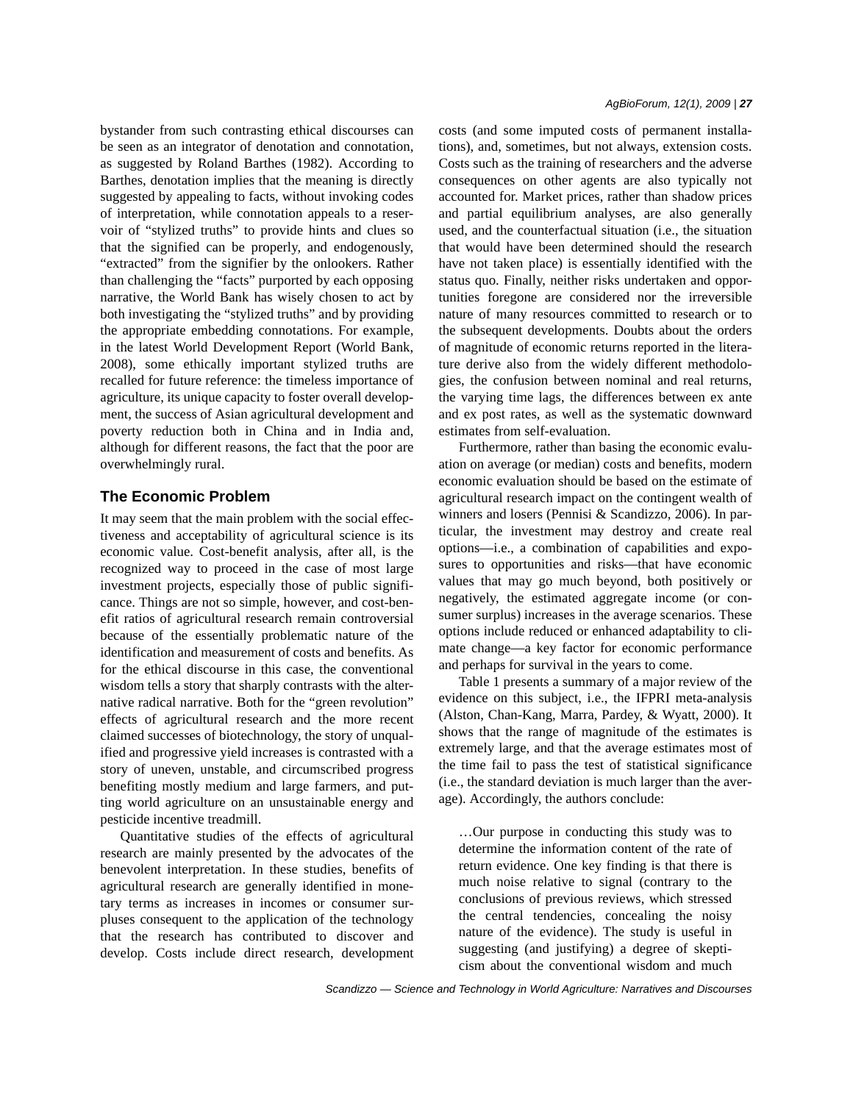bystander from such contrasting ethical discourses can be seen as an integrator of denotation and connotation, as suggested by Roland Barthes (1982). According to Barthes, denotation implies that the meaning is directly suggested by appealing to facts, without invoking codes of interpretation, while connotation appeals to a reservoir of "stylized truths" to provide hints and clues so that the signified can be properly, and endogenously, "extracted" from the signifier by the onlookers. Rather than challenging the "facts" purported by each opposing narrative, the World Bank has wisely chosen to act by both investigating the "stylized truths" and by providing the appropriate embedding connotations. For example, in the latest World Development Report (World Bank, 2008), some ethically important stylized truths are recalled for future reference: the timeless importance of agriculture, its unique capacity to foster overall development, the success of Asian agricultural development and poverty reduction both in China and in India and, although for different reasons, the fact that the poor are overwhelmingly rural.

### **The Economic Problem**

It may seem that the main problem with the social effectiveness and acceptability of agricultural science is its economic value. Cost-benefit analysis, after all, is the recognized way to proceed in the case of most large investment projects, especially those of public significance. Things are not so simple, however, and cost-benefit ratios of agricultural research remain controversial because of the essentially problematic nature of the identification and measurement of costs and benefits. As for the ethical discourse in this case, the conventional wisdom tells a story that sharply contrasts with the alternative radical narrative. Both for the "green revolution" effects of agricultural research and the more recent claimed successes of biotechnology, the story of unqualified and progressive yield increases is contrasted with a story of uneven, unstable, and circumscribed progress benefiting mostly medium and large farmers, and putting world agriculture on an unsustainable energy and pesticide incentive treadmill.

Quantitative studies of the effects of agricultural research are mainly presented by the advocates of the benevolent interpretation. In these studies, benefits of agricultural research are generally identified in monetary terms as increases in incomes or consumer surpluses consequent to the application of the technology that the research has contributed to discover and develop. Costs include direct research, development costs (and some imputed costs of permanent installations), and, sometimes, but not always, extension costs. Costs such as the training of researchers and the adverse consequences on other agents are also typically not accounted for. Market prices, rather than shadow prices and partial equilibrium analyses, are also generally used, and the counterfactual situation (i.e., the situation that would have been determined should the research have not taken place) is essentially identified with the status quo. Finally, neither risks undertaken and opportunities foregone are considered nor the irreversible nature of many resources committed to research or to the subsequent developments. Doubts about the orders of magnitude of economic returns reported in the literature derive also from the widely different methodologies, the confusion between nominal and real returns, the varying time lags, the differences between ex ante and ex post rates, as well as the systematic downward estimates from self-evaluation.

Furthermore, rather than basing the economic evaluation on average (or median) costs and benefits, modern economic evaluation should be based on the estimate of agricultural research impact on the contingent wealth of winners and losers (Pennisi & Scandizzo, 2006). In particular, the investment may destroy and create real options—i.e., a combination of capabilities and exposures to opportunities and risks—that have economic values that may go much beyond, both positively or negatively, the estimated aggregate income (or consumer surplus) increases in the average scenarios. These options include reduced or enhanced adaptability to climate change—a key factor for economic performance and perhaps for survival in the years to come.

Table 1 presents a summary of a major review of the evidence on this subject, i.e., the IFPRI meta-analysis (Alston, Chan-Kang, Marra, Pardey, & Wyatt, 2000). It shows that the range of magnitude of the estimates is extremely large, and that the average estimates most of the time fail to pass the test of statistical significance (i.e., the standard deviation is much larger than the average). Accordingly, the authors conclude:

…Our purpose in conducting this study was to determine the information content of the rate of return evidence. One key finding is that there is much noise relative to signal (contrary to the conclusions of previous reviews, which stressed the central tendencies, concealing the noisy nature of the evidence). The study is useful in suggesting (and justifying) a degree of skepticism about the conventional wisdom and much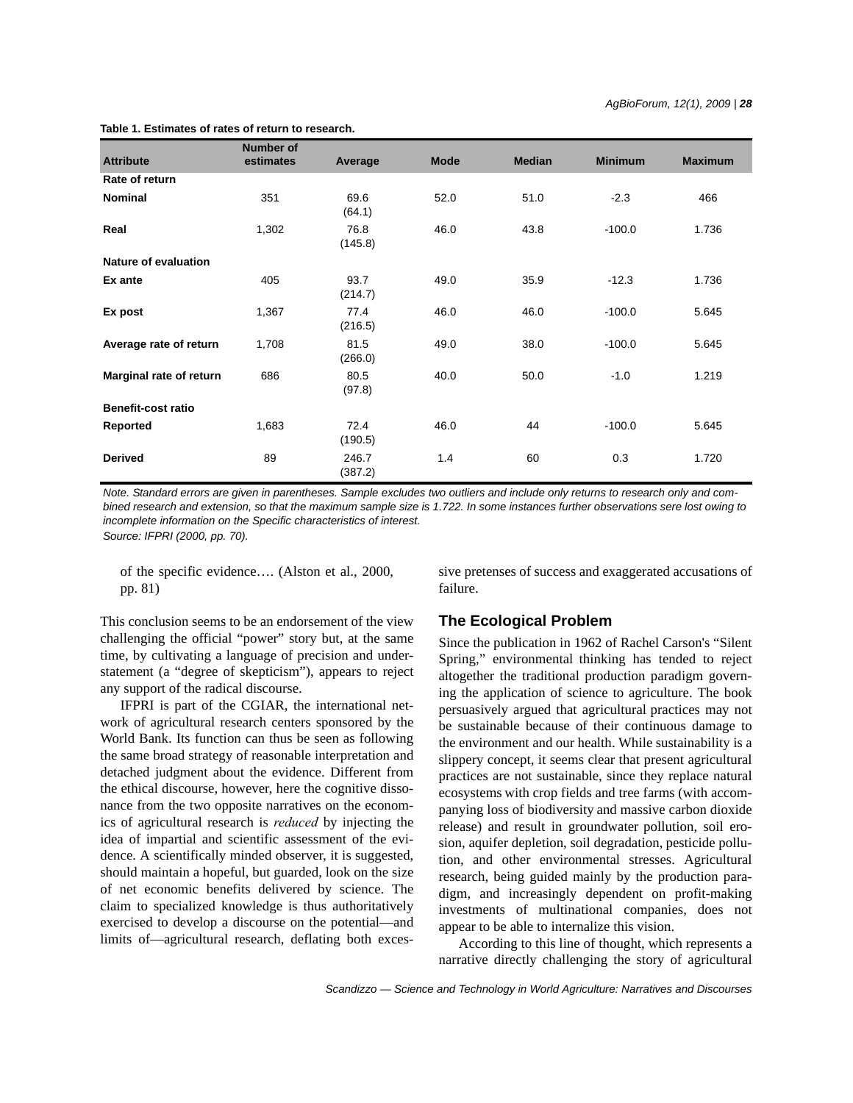|                           | <b>Number of</b> |                  |             |               |                |                |
|---------------------------|------------------|------------------|-------------|---------------|----------------|----------------|
| <b>Attribute</b>          | estimates        | Average          | <b>Mode</b> | <b>Median</b> | <b>Minimum</b> | <b>Maximum</b> |
| Rate of return            |                  |                  |             |               |                |                |
| <b>Nominal</b>            | 351              | 69.6<br>(64.1)   | 52.0        | 51.0          | $-2.3$         | 466            |
| Real                      | 1,302            | 76.8<br>(145.8)  | 46.0        | 43.8          | $-100.0$       | 1.736          |
| Nature of evaluation      |                  |                  |             |               |                |                |
| Ex ante                   | 405              | 93.7<br>(214.7)  | 49.0        | 35.9          | $-12.3$        | 1.736          |
| Ex post                   | 1,367            | 77.4<br>(216.5)  | 46.0        | 46.0          | $-100.0$       | 5.645          |
| Average rate of return    | 1,708            | 81.5<br>(266.0)  | 49.0        | 38.0          | $-100.0$       | 5.645          |
| Marginal rate of return   | 686              | 80.5<br>(97.8)   | 40.0        | 50.0          | $-1.0$         | 1.219          |
| <b>Benefit-cost ratio</b> |                  |                  |             |               |                |                |
| Reported                  | 1,683            | 72.4<br>(190.5)  | 46.0        | 44            | $-100.0$       | 5.645          |
| <b>Derived</b>            | 89               | 246.7<br>(387.2) | 1.4         | 60            | 0.3            | 1.720          |

#### **Table 1. Estimates of rates of return to research.**

*Note. Standard errors are given in parentheses. Sample excludes two outliers and include only returns to research only and combined research and extension, so that the maximum sample size is 1.722. In some instances further observations sere lost owing to incomplete information on the Specific characteristics of interest. Source: IFPRI (2000, pp. 70).*

of the specific evidence…. (Alston et al., 2000, pp. 81)

sive pretenses of success and exaggerated accusations of failure.

**The Ecological Problem**

This conclusion seems to be an endorsement of the view challenging the official "power" story but, at the same time, by cultivating a language of precision and understatement (a "degree of skepticism"), appears to reject any support of the radical discourse.

IFPRI is part of the CGIAR, the international network of agricultural research centers sponsored by the World Bank. Its function can thus be seen as following the same broad strategy of reasonable interpretation and detached judgment about the evidence. Different from the ethical discourse, however, here the cognitive dissonance from the two opposite narratives on the economics of agricultural research is *reduced* by injecting the idea of impartial and scientific assessment of the evidence. A scientifically minded observer, it is suggested, should maintain a hopeful, but guarded, look on the size of net economic benefits delivered by science. The claim to specialized knowledge is thus authoritatively exercised to develop a discourse on the potential—and limits of—agricultural research, deflating both excesSince the publication in 1962 of Rachel Carson's "Silent Spring," environmental thinking has tended to reject altogether the traditional production paradigm governing the application of science to agriculture. The book persuasively argued that agricultural practices may not be sustainable because of their continuous damage to the environment and our health. While sustainability is a slippery concept, it seems clear that present agricultural practices are not sustainable, since they replace natural ecosystems with crop fields and tree farms (with accompanying loss of biodiversity and massive carbon dioxide release) and result in groundwater pollution, soil erosion, aquifer depletion, soil degradation, pesticide pollution, and other environmental stresses. Agricultural research, being guided mainly by the production paradigm, and increasingly dependent on profit-making investments of multinational companies, does not appear to be able to internalize this vision.

According to this line of thought, which represents a narrative directly challenging the story of agricultural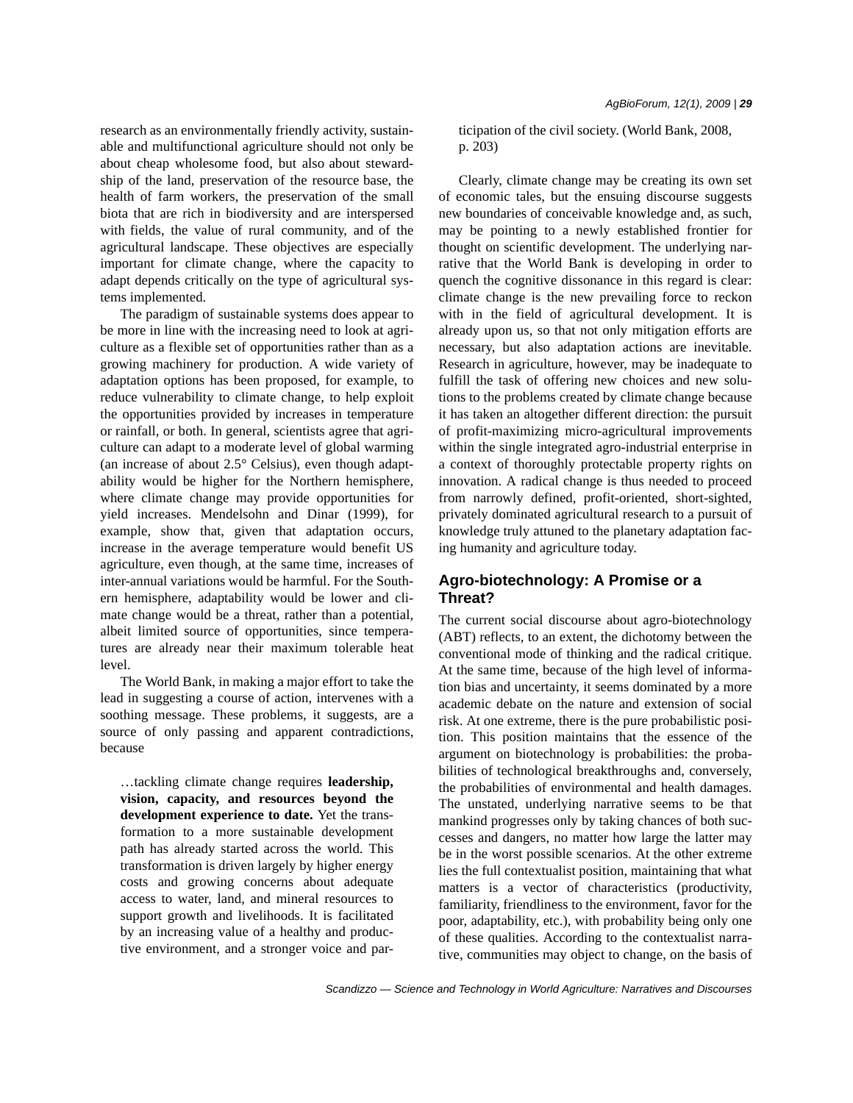research as an environmentally friendly activity, sustainable and multifunctional agriculture should not only be about cheap wholesome food, but also about stewardship of the land, preservation of the resource base, the health of farm workers, the preservation of the small biota that are rich in biodiversity and are interspersed with fields, the value of rural community, and of the agricultural landscape. These objectives are especially important for climate change, where the capacity to adapt depends critically on the type of agricultural systems implemented.

The paradigm of sustainable systems does appear to be more in line with the increasing need to look at agriculture as a flexible set of opportunities rather than as a growing machinery for production. A wide variety of adaptation options has been proposed, for example, to reduce vulnerability to climate change, to help exploit the opportunities provided by increases in temperature or rainfall, or both. In general, scientists agree that agriculture can adapt to a moderate level of global warming (an increase of about 2.5° Celsius), even though adaptability would be higher for the Northern hemisphere, where climate change may provide opportunities for yield increases. Mendelsohn and Dinar (1999), for example, show that, given that adaptation occurs, increase in the average temperature would benefit US agriculture, even though, at the same time, increases of inter-annual variations would be harmful. For the Southern hemisphere, adaptability would be lower and climate change would be a threat, rather than a potential, albeit limited source of opportunities, since temperatures are already near their maximum tolerable heat level.

The World Bank, in making a major effort to take the lead in suggesting a course of action, intervenes with a soothing message. These problems, it suggests, are a source of only passing and apparent contradictions, because

…tackling climate change requires **leadership, vision, capacity, and resources beyond the development experience to date.** Yet the transformation to a more sustainable development path has already started across the world. This transformation is driven largely by higher energy costs and growing concerns about adequate access to water, land, and mineral resources to support growth and livelihoods. It is facilitated by an increasing value of a healthy and productive environment, and a stronger voice and participation of the civil society. (World Bank, 2008, p. 203)

Clearly, climate change may be creating its own set of economic tales, but the ensuing discourse suggests new boundaries of conceivable knowledge and, as such, may be pointing to a newly established frontier for thought on scientific development. The underlying narrative that the World Bank is developing in order to quench the cognitive dissonance in this regard is clear: climate change is the new prevailing force to reckon with in the field of agricultural development. It is already upon us, so that not only mitigation efforts are necessary, but also adaptation actions are inevitable. Research in agriculture, however, may be inadequate to fulfill the task of offering new choices and new solutions to the problems created by climate change because it has taken an altogether different direction: the pursuit of profit-maximizing micro-agricultural improvements within the single integrated agro-industrial enterprise in a context of thoroughly protectable property rights on innovation. A radical change is thus needed to proceed from narrowly defined, profit-oriented, short-sighted, privately dominated agricultural research to a pursuit of knowledge truly attuned to the planetary adaptation facing humanity and agriculture today.

# **Agro-biotechnology: A Promise or a Threat?**

The current social discourse about agro-biotechnology (ABT) reflects, to an extent, the dichotomy between the conventional mode of thinking and the radical critique. At the same time, because of the high level of information bias and uncertainty, it seems dominated by a more academic debate on the nature and extension of social risk. At one extreme, there is the pure probabilistic position. This position maintains that the essence of the argument on biotechnology is probabilities: the probabilities of technological breakthroughs and, conversely, the probabilities of environmental and health damages. The unstated, underlying narrative seems to be that mankind progresses only by taking chances of both successes and dangers, no matter how large the latter may be in the worst possible scenarios. At the other extreme lies the full contextualist position, maintaining that what matters is a vector of characteristics (productivity, familiarity, friendliness to the environment, favor for the poor, adaptability, etc.), with probability being only one of these qualities. According to the contextualist narrative, communities may object to change, on the basis of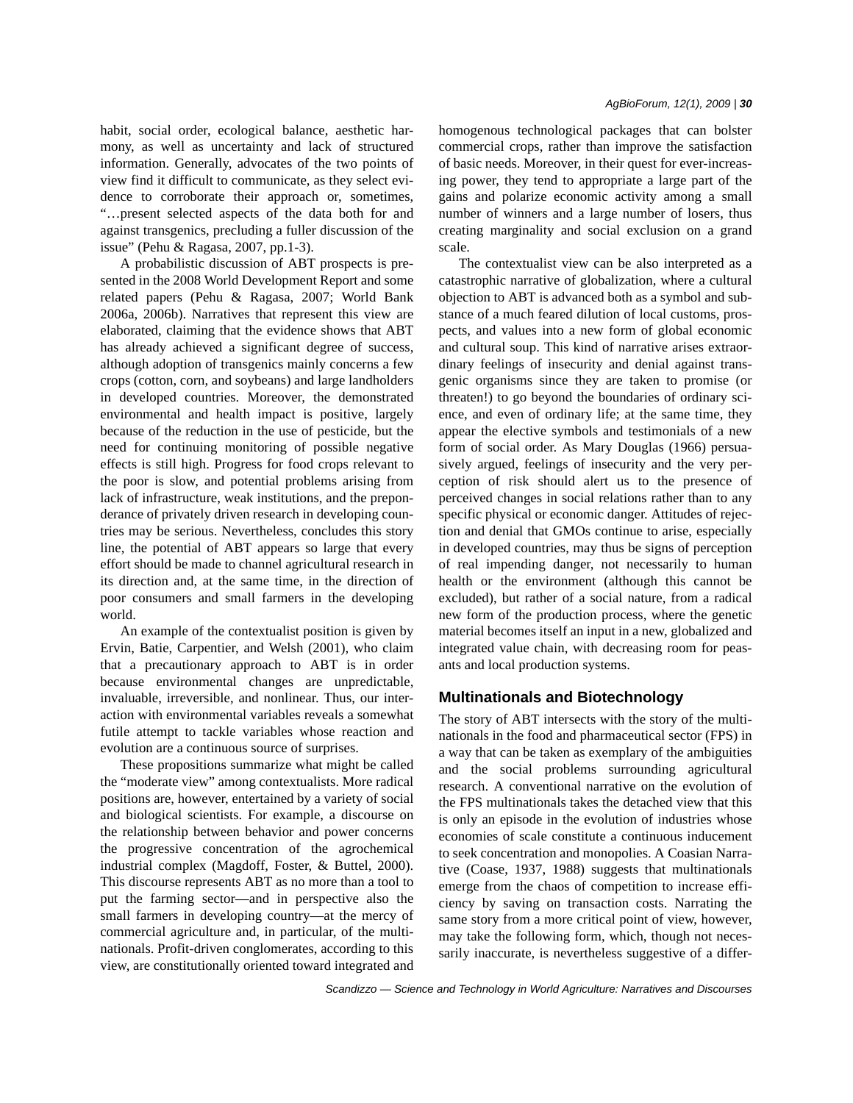habit, social order, ecological balance, aesthetic harmony, as well as uncertainty and lack of structured information. Generally, advocates of the two points of view find it difficult to communicate, as they select evidence to corroborate their approach or, sometimes, "…present selected aspects of the data both for and against transgenics, precluding a fuller discussion of the issue" (Pehu & Ragasa, 2007, pp.1-3).

A probabilistic discussion of ABT prospects is presented in the 2008 World Development Report and some related papers (Pehu & Ragasa, 2007; World Bank 2006a, 2006b). Narratives that represent this view are elaborated, claiming that the evidence shows that ABT has already achieved a significant degree of success, although adoption of transgenics mainly concerns a few crops (cotton, corn, and soybeans) and large landholders in developed countries. Moreover, the demonstrated environmental and health impact is positive, largely because of the reduction in the use of pesticide, but the need for continuing monitoring of possible negative effects is still high. Progress for food crops relevant to the poor is slow, and potential problems arising from lack of infrastructure, weak institutions, and the preponderance of privately driven research in developing countries may be serious. Nevertheless, concludes this story line, the potential of ABT appears so large that every effort should be made to channel agricultural research in its direction and, at the same time, in the direction of poor consumers and small farmers in the developing world.

An example of the contextualist position is given by Ervin, Batie, Carpentier, and Welsh (2001), who claim that a precautionary approach to ABT is in order because environmental changes are unpredictable, invaluable, irreversible, and nonlinear. Thus, our interaction with environmental variables reveals a somewhat futile attempt to tackle variables whose reaction and evolution are a continuous source of surprises.

These propositions summarize what might be called the "moderate view" among contextualists. More radical positions are, however, entertained by a variety of social and biological scientists. For example, a discourse on the relationship between behavior and power concerns the progressive concentration of the agrochemical industrial complex (Magdoff, Foster, & Buttel, 2000). This discourse represents ABT as no more than a tool to put the farming sector—and in perspective also the small farmers in developing country—at the mercy of commercial agriculture and, in particular, of the multinationals. Profit-driven conglomerates, according to this view, are constitutionally oriented toward integrated and homogenous technological packages that can bolster commercial crops, rather than improve the satisfaction of basic needs. Moreover, in their quest for ever-increasing power, they tend to appropriate a large part of the gains and polarize economic activity among a small number of winners and a large number of losers, thus creating marginality and social exclusion on a grand scale.

The contextualist view can be also interpreted as a catastrophic narrative of globalization, where a cultural objection to ABT is advanced both as a symbol and substance of a much feared dilution of local customs, prospects, and values into a new form of global economic and cultural soup. This kind of narrative arises extraordinary feelings of insecurity and denial against transgenic organisms since they are taken to promise (or threaten!) to go beyond the boundaries of ordinary science, and even of ordinary life; at the same time, they appear the elective symbols and testimonials of a new form of social order. As Mary Douglas (1966) persuasively argued, feelings of insecurity and the very perception of risk should alert us to the presence of perceived changes in social relations rather than to any specific physical or economic danger. Attitudes of rejection and denial that GMOs continue to arise, especially in developed countries, may thus be signs of perception of real impending danger, not necessarily to human health or the environment (although this cannot be excluded), but rather of a social nature, from a radical new form of the production process, where the genetic material becomes itself an input in a new, globalized and integrated value chain, with decreasing room for peasants and local production systems.

# **Multinationals and Biotechnology**

The story of ABT intersects with the story of the multinationals in the food and pharmaceutical sector (FPS) in a way that can be taken as exemplary of the ambiguities and the social problems surrounding agricultural research. A conventional narrative on the evolution of the FPS multinationals takes the detached view that this is only an episode in the evolution of industries whose economies of scale constitute a continuous inducement to seek concentration and monopolies. A Coasian Narrative (Coase, 1937, 1988) suggests that multinationals emerge from the chaos of competition to increase efficiency by saving on transaction costs. Narrating the same story from a more critical point of view, however, may take the following form, which, though not necessarily inaccurate, is nevertheless suggestive of a differ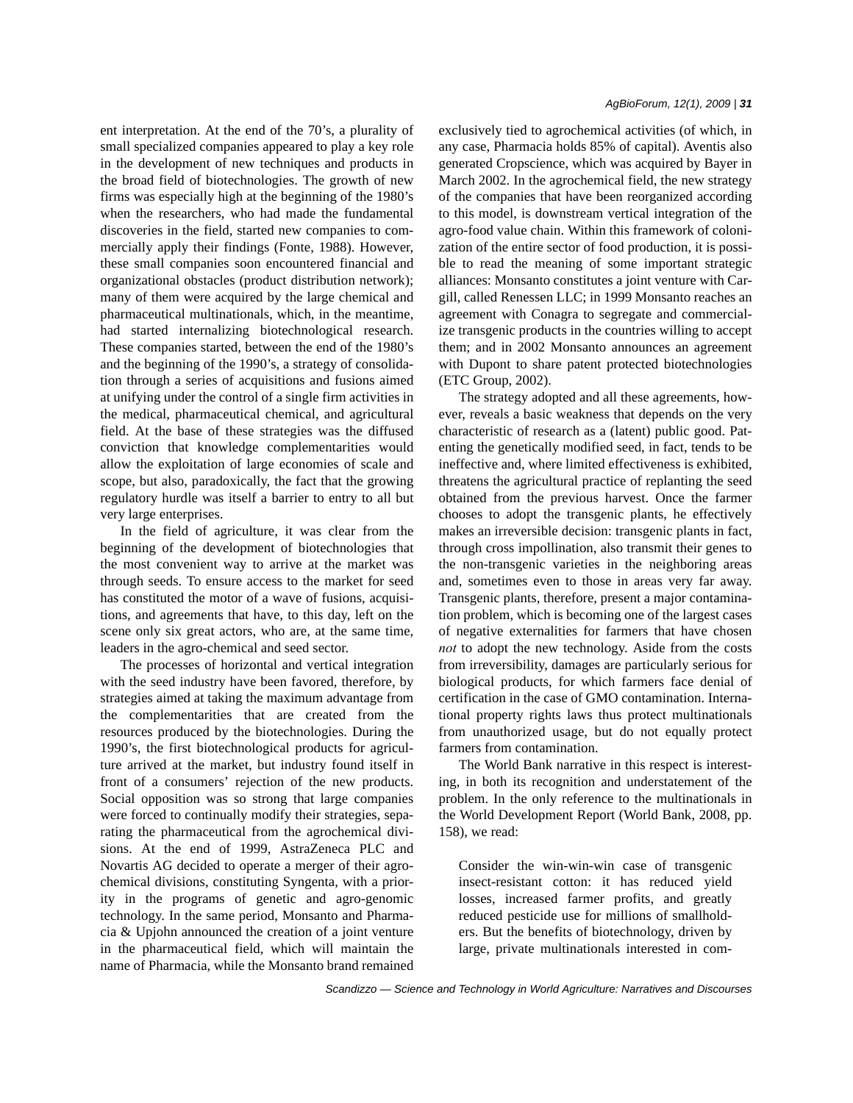ent interpretation. At the end of the 70's, a plurality of small specialized companies appeared to play a key role in the development of new techniques and products in the broad field of biotechnologies. The growth of new firms was especially high at the beginning of the 1980's when the researchers, who had made the fundamental discoveries in the field, started new companies to commercially apply their findings (Fonte, 1988). However, these small companies soon encountered financial and organizational obstacles (product distribution network); many of them were acquired by the large chemical and pharmaceutical multinationals, which, in the meantime, had started internalizing biotechnological research. These companies started, between the end of the 1980's and the beginning of the 1990's, a strategy of consolidation through a series of acquisitions and fusions aimed at unifying under the control of a single firm activities in the medical, pharmaceutical chemical, and agricultural field. At the base of these strategies was the diffused conviction that knowledge complementarities would allow the exploitation of large economies of scale and scope, but also, paradoxically, the fact that the growing regulatory hurdle was itself a barrier to entry to all but very large enterprises.

In the field of agriculture, it was clear from the beginning of the development of biotechnologies that the most convenient way to arrive at the market was through seeds. To ensure access to the market for seed has constituted the motor of a wave of fusions, acquisitions, and agreements that have, to this day, left on the scene only six great actors, who are, at the same time, leaders in the agro-chemical and seed sector.

The processes of horizontal and vertical integration with the seed industry have been favored, therefore, by strategies aimed at taking the maximum advantage from the complementarities that are created from the resources produced by the biotechnologies. During the 1990's, the first biotechnological products for agriculture arrived at the market, but industry found itself in front of a consumers' rejection of the new products. Social opposition was so strong that large companies were forced to continually modify their strategies, separating the pharmaceutical from the agrochemical divisions. At the end of 1999, AstraZeneca PLC and Novartis AG decided to operate a merger of their agrochemical divisions, constituting Syngenta, with a priority in the programs of genetic and agro-genomic technology. In the same period, Monsanto and Pharmacia & Upjohn announced the creation of a joint venture in the pharmaceutical field, which will maintain the name of Pharmacia, while the Monsanto brand remained exclusively tied to agrochemical activities (of which, in any case, Pharmacia holds 85% of capital). Aventis also generated Cropscience, which was acquired by Bayer in March 2002. In the agrochemical field, the new strategy of the companies that have been reorganized according to this model, is downstream vertical integration of the agro-food value chain. Within this framework of colonization of the entire sector of food production, it is possible to read the meaning of some important strategic alliances: Monsanto constitutes a joint venture with Cargill, called Renessen LLC; in 1999 Monsanto reaches an agreement with Conagra to segregate and commercialize transgenic products in the countries willing to accept them; and in 2002 Monsanto announces an agreement with Dupont to share patent protected biotechnologies (ETC Group, 2002).

The strategy adopted and all these agreements, however, reveals a basic weakness that depends on the very characteristic of research as a (latent) public good. Patenting the genetically modified seed, in fact, tends to be ineffective and, where limited effectiveness is exhibited, threatens the agricultural practice of replanting the seed obtained from the previous harvest. Once the farmer chooses to adopt the transgenic plants, he effectively makes an irreversible decision: transgenic plants in fact, through cross impollination, also transmit their genes to the non-transgenic varieties in the neighboring areas and, sometimes even to those in areas very far away. Transgenic plants, therefore, present a major contamination problem, which is becoming one of the largest cases of negative externalities for farmers that have chosen *not* to adopt the new technology. Aside from the costs from irreversibility, damages are particularly serious for biological products, for which farmers face denial of certification in the case of GMO contamination. International property rights laws thus protect multinationals from unauthorized usage, but do not equally protect farmers from contamination.

The World Bank narrative in this respect is interesting, in both its recognition and understatement of the problem. In the only reference to the multinationals in the World Development Report (World Bank, 2008, pp. 158), we read:

Consider the win-win-win case of transgenic insect-resistant cotton: it has reduced yield losses, increased farmer profits, and greatly reduced pesticide use for millions of smallholders. But the benefits of biotechnology, driven by large, private multinationals interested in com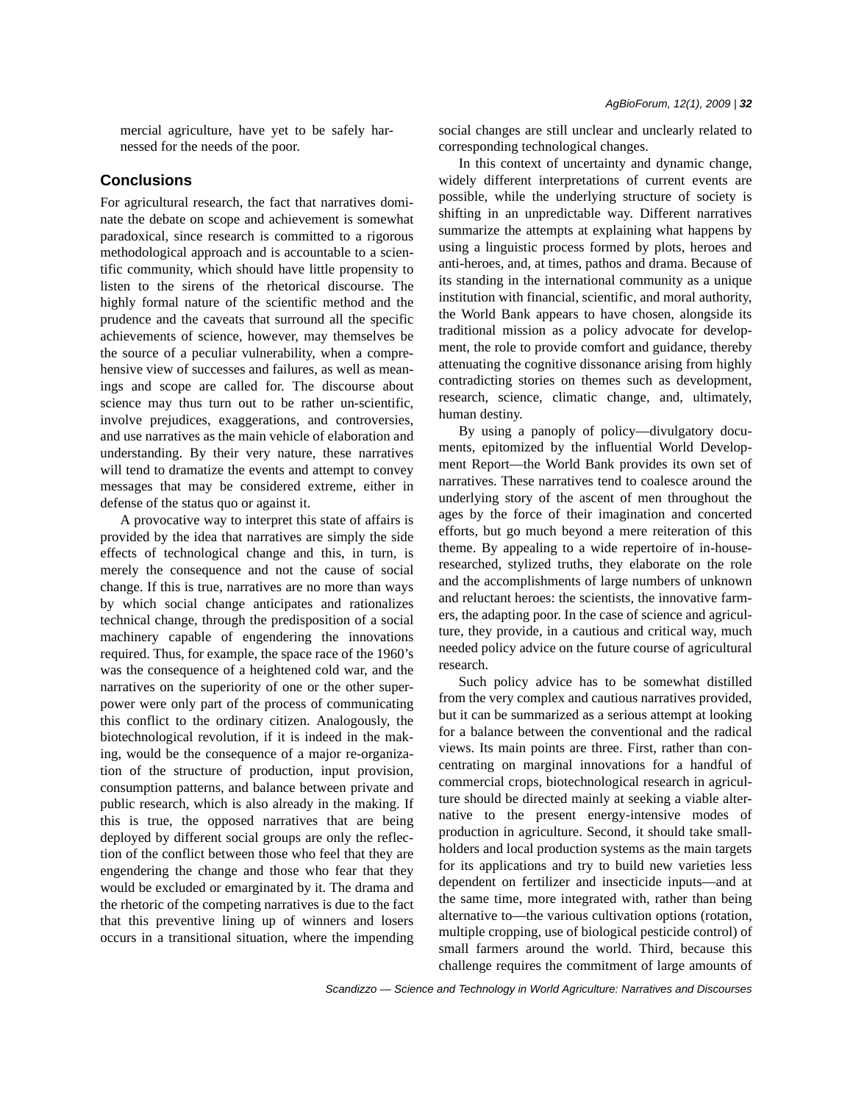mercial agriculture, have yet to be safely harnessed for the needs of the poor.

### **Conclusions**

For agricultural research, the fact that narratives dominate the debate on scope and achievement is somewhat paradoxical, since research is committed to a rigorous methodological approach and is accountable to a scientific community, which should have little propensity to listen to the sirens of the rhetorical discourse. The highly formal nature of the scientific method and the prudence and the caveats that surround all the specific achievements of science, however, may themselves be the source of a peculiar vulnerability, when a comprehensive view of successes and failures, as well as meanings and scope are called for. The discourse about science may thus turn out to be rather un-scientific, involve prejudices, exaggerations, and controversies, and use narratives as the main vehicle of elaboration and understanding. By their very nature, these narratives will tend to dramatize the events and attempt to convey messages that may be considered extreme, either in defense of the status quo or against it.

A provocative way to interpret this state of affairs is provided by the idea that narratives are simply the side effects of technological change and this, in turn, is merely the consequence and not the cause of social change. If this is true, narratives are no more than ways by which social change anticipates and rationalizes technical change, through the predisposition of a social machinery capable of engendering the innovations required. Thus, for example, the space race of the 1960's was the consequence of a heightened cold war, and the narratives on the superiority of one or the other superpower were only part of the process of communicating this conflict to the ordinary citizen. Analogously, the biotechnological revolution, if it is indeed in the making, would be the consequence of a major re-organization of the structure of production, input provision, consumption patterns, and balance between private and public research, which is also already in the making. If this is true, the opposed narratives that are being deployed by different social groups are only the reflection of the conflict between those who feel that they are engendering the change and those who fear that they would be excluded or emarginated by it. The drama and the rhetoric of the competing narratives is due to the fact that this preventive lining up of winners and losers occurs in a transitional situation, where the impending social changes are still unclear and unclearly related to corresponding technological changes.

In this context of uncertainty and dynamic change, widely different interpretations of current events are possible, while the underlying structure of society is shifting in an unpredictable way. Different narratives summarize the attempts at explaining what happens by using a linguistic process formed by plots, heroes and anti-heroes, and, at times, pathos and drama. Because of its standing in the international community as a unique institution with financial, scientific, and moral authority, the World Bank appears to have chosen, alongside its traditional mission as a policy advocate for development, the role to provide comfort and guidance, thereby attenuating the cognitive dissonance arising from highly contradicting stories on themes such as development, research, science, climatic change, and, ultimately, human destiny.

By using a panoply of policy—divulgatory documents, epitomized by the influential World Development Report—the World Bank provides its own set of narratives. These narratives tend to coalesce around the underlying story of the ascent of men throughout the ages by the force of their imagination and concerted efforts, but go much beyond a mere reiteration of this theme. By appealing to a wide repertoire of in-houseresearched, stylized truths, they elaborate on the role and the accomplishments of large numbers of unknown and reluctant heroes: the scientists, the innovative farmers, the adapting poor. In the case of science and agriculture, they provide, in a cautious and critical way, much needed policy advice on the future course of agricultural research.

Such policy advice has to be somewhat distilled from the very complex and cautious narratives provided, but it can be summarized as a serious attempt at looking for a balance between the conventional and the radical views. Its main points are three. First, rather than concentrating on marginal innovations for a handful of commercial crops, biotechnological research in agriculture should be directed mainly at seeking a viable alternative to the present energy-intensive modes of production in agriculture. Second, it should take smallholders and local production systems as the main targets for its applications and try to build new varieties less dependent on fertilizer and insecticide inputs—and at the same time, more integrated with, rather than being alternative to—the various cultivation options (rotation, multiple cropping, use of biological pesticide control) of small farmers around the world. Third, because this challenge requires the commitment of large amounts of